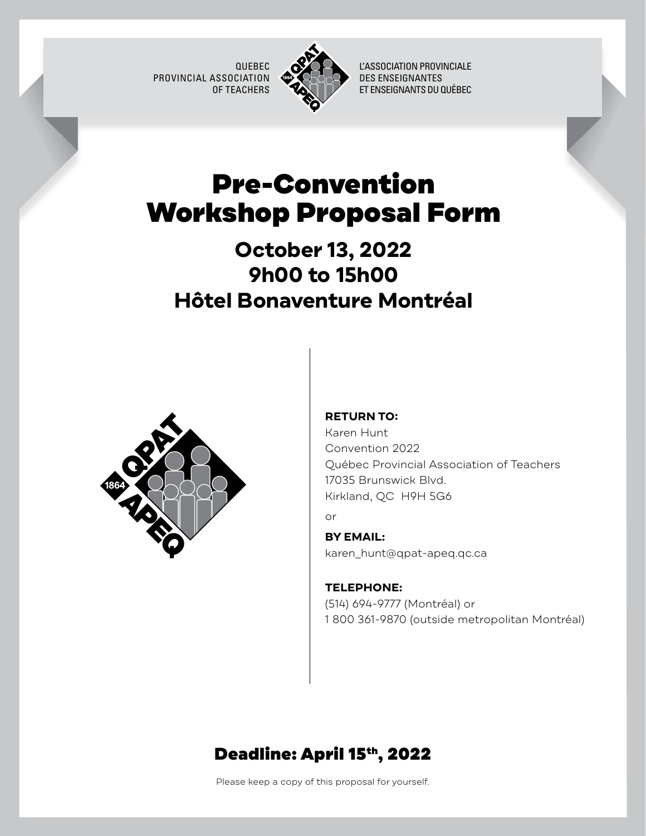QUEBEC PROVINCIAL ASSOCIATION OF TEACHERS



L'ASSOCIATION PROVINCIALE DES ENSEIGNANTES ET ENSEIGNANTS DU QUÉBEC

# Pre-Convention Workshop Proposal Form

## **October 13, 2022 9h00 to 15h00 Hôtel Bonaventure Montréal**



### **RETURN TO:**

Karen Hunt Convention 2022 Québec Provincial Association of Teachers 17035 Brunswick Blvd. Kirkland, QC H9H 5G6

or

### **BY EMAIL:**

[karen\\_hunt@qpat-apeq.qc.ca](mailto:karen_hunt%40qpat-apeq.qc.ca?subject=) 

### **TELEPHONE:** (514) 694-9777 (Montréal) or 1 800 361-9870 (outside metropolitan Montréal)

## Deadline: April 15th, 2022

Please keep a copy of this proposal for yourself.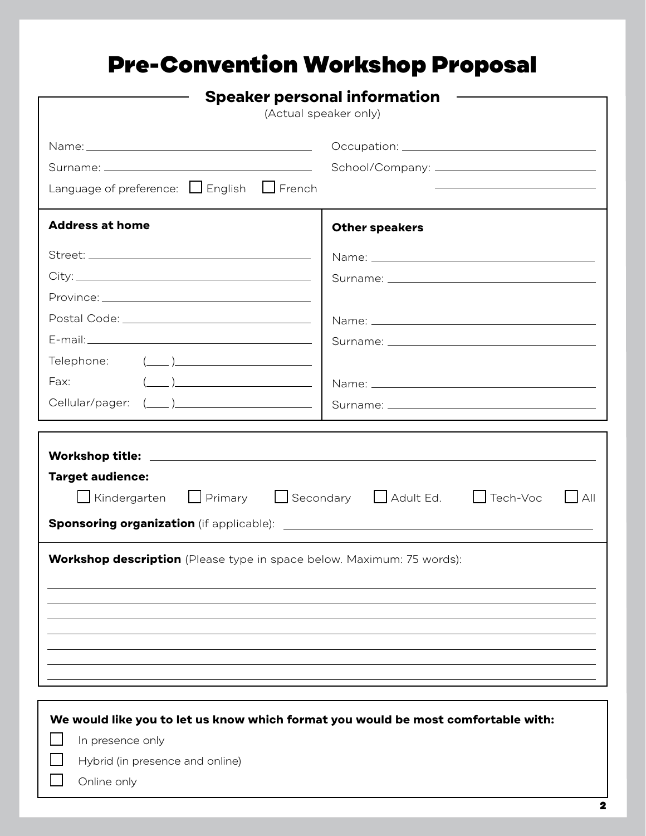# Pre-Convention Workshop Proposal

| <b>Speaker personal information</b><br>(Actual speaker only)                                                    |                                                                                             |  |
|-----------------------------------------------------------------------------------------------------------------|---------------------------------------------------------------------------------------------|--|
|                                                                                                                 |                                                                                             |  |
|                                                                                                                 |                                                                                             |  |
| Language of preference: $\Box$ English $\Box$ French                                                            |                                                                                             |  |
| <b>Address at home</b>                                                                                          | <b>Other speakers</b>                                                                       |  |
|                                                                                                                 |                                                                                             |  |
|                                                                                                                 |                                                                                             |  |
|                                                                                                                 |                                                                                             |  |
|                                                                                                                 |                                                                                             |  |
|                                                                                                                 |                                                                                             |  |
|                                                                                                                 |                                                                                             |  |
| $\left(\begin{array}{c} \begin{array}{c} \begin{array}{c} \end{array}\\ \end{array}\right) \end{array}$<br>Fax: |                                                                                             |  |
|                                                                                                                 |                                                                                             |  |
|                                                                                                                 |                                                                                             |  |
| <b>Target audience:</b>                                                                                         | ■ Kindergarten ■ Primary ■ Secondary ■ Adult Ed. ■ Tech-Voc<br>$\overline{\phantom{a}}$ All |  |
| Workshop description (Please type in space below. Maximum: 75 words):                                           |                                                                                             |  |
|                                                                                                                 |                                                                                             |  |
|                                                                                                                 | We would like you to let us know which format you would be most comfortable with:           |  |
| In presence only<br>Hybrid (in presence and online)                                                             |                                                                                             |  |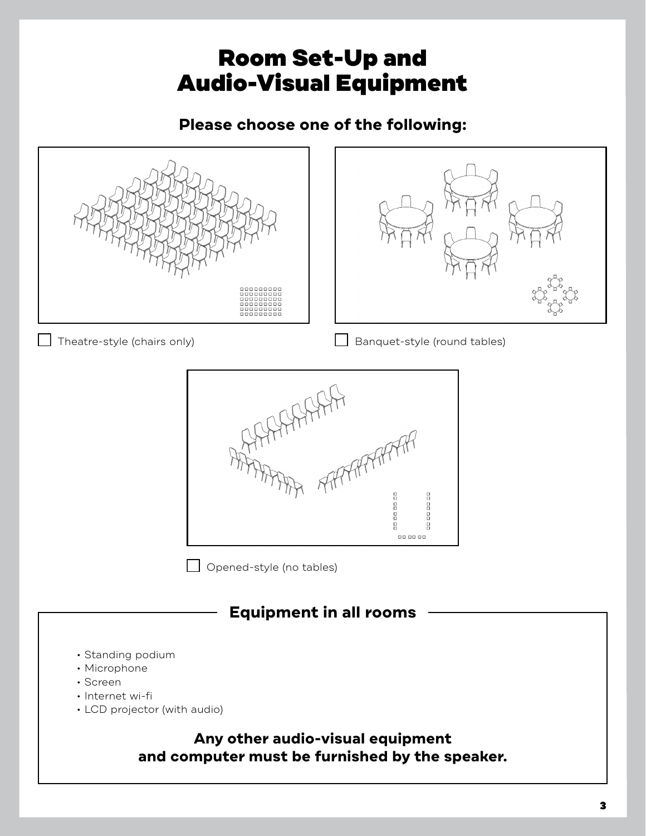## Room Set-Up and Audio-Visual Equipment

### **Please choose one of the following:**

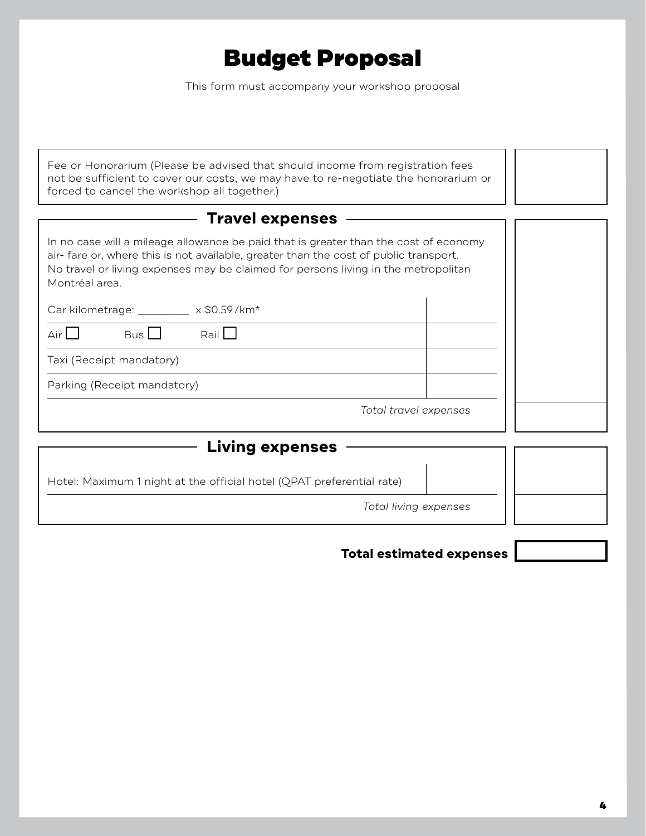# Budget Proposal

This form must accompany your workshop proposal

| Fee or Honorarium (Please be advised that should income from registration fees<br>not be sufficient to cover our costs, we may have to re-negotiate the honorarium or<br>forced to cancel the workshop all together.)                                                                |  |  |  |
|--------------------------------------------------------------------------------------------------------------------------------------------------------------------------------------------------------------------------------------------------------------------------------------|--|--|--|
| <b>Travel expenses</b>                                                                                                                                                                                                                                                               |  |  |  |
| In no case will a mileage allowance be paid that is greater than the cost of economy<br>air-fare or, where this is not available, greater than the cost of public transport.<br>No travel or living expenses may be claimed for persons living in the metropolitan<br>Montréal area. |  |  |  |
| Car kilometrage: _________ x \$0.59/km*                                                                                                                                                                                                                                              |  |  |  |
| Bus<br>Rain<br>Air                                                                                                                                                                                                                                                                   |  |  |  |
| Taxi (Receipt mandatory)                                                                                                                                                                                                                                                             |  |  |  |
| Parking (Receipt mandatory)                                                                                                                                                                                                                                                          |  |  |  |
| Total travel expenses                                                                                                                                                                                                                                                                |  |  |  |
| <b>Living expenses</b>                                                                                                                                                                                                                                                               |  |  |  |
| Hotel: Maximum 1 night at the official hotel (QPAT preferential rate)                                                                                                                                                                                                                |  |  |  |
| Total living expenses                                                                                                                                                                                                                                                                |  |  |  |
|                                                                                                                                                                                                                                                                                      |  |  |  |

### **Total estimated expenses**